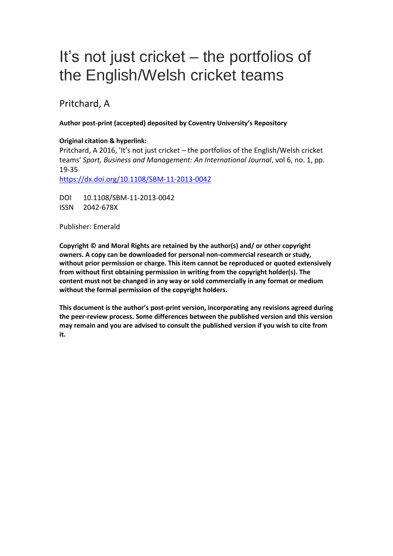# It's not just cricket – the portfolios of the English/Welsh cricket teams

## Pritchard, A

#### **Author post-print (accepted) deposited by Coventry University's Repository**

#### **Original citation & hyperlink:**

Pritchard, A 2016, 'It's not just cricket – the portfolios of the English/Welsh cricket teams' *Sport, Business and Management: An International Journal*, vol 6, no. 1, pp. 19-35

<https://dx.doi.org/10.1108/SBM-11-2013-0042>

DOI 10.1108/SBM-11-2013-0042 ISSN 2042-678X

Publisher: Emerald

**Copyright © and Moral Rights are retained by the author(s) and/ or other copyright owners. A copy can be downloaded for personal non-commercial research or study, without prior permission or charge. This item cannot be reproduced or quoted extensively from without first obtaining permission in writing from the copyright holder(s). The content must not be changed in any way or sold commercially in any format or medium without the formal permission of the copyright holders.** 

**This document is the author's post-print version, incorporating any revisions agreed during the peer-review process. Some differences between the published version and this version may remain and you are advised to consult the published version if you wish to cite from it.**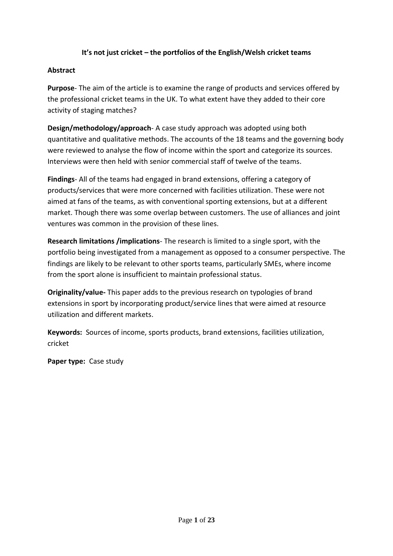## **It's not just cricket – the portfolios of the English/Welsh cricket teams**

#### **Abstract**

**Purpose**- The aim of the article is to examine the range of products and services offered by the professional cricket teams in the UK. To what extent have they added to their core activity of staging matches?

**Design/methodology/approach**- A case study approach was adopted using both quantitative and qualitative methods. The accounts of the 18 teams and the governing body were reviewed to analyse the flow of income within the sport and categorize its sources. Interviews were then held with senior commercial staff of twelve of the teams.

**Findings**- All of the teams had engaged in brand extensions, offering a category of products/services that were more concerned with facilities utilization. These were not aimed at fans of the teams, as with conventional sporting extensions, but at a different market. Though there was some overlap between customers. The use of alliances and joint ventures was common in the provision of these lines.

**Research limitations /implications**- The research is limited to a single sport, with the portfolio being investigated from a management as opposed to a consumer perspective. The findings are likely to be relevant to other sports teams, particularly SMEs, where income from the sport alone is insufficient to maintain professional status.

**Originality/value-** This paper adds to the previous research on typologies of brand extensions in sport by incorporating product/service lines that were aimed at resource utilization and different markets.

**Keywords:** Sources of income, sports products, brand extensions, facilities utilization, cricket

**Paper type:** Case study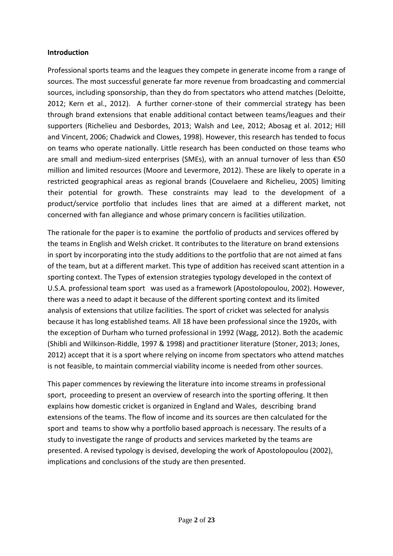#### **Introduction**

Professional sports teams and the leagues they compete in generate income from a range of sources. The most successful generate far more revenue from broadcasting and commercial sources, including sponsorship, than they do from spectators who attend matches (Deloitte, 2012; Kern et al., 2012). A further corner-stone of their commercial strategy has been through brand extensions that enable additional contact between teams/leagues and their supporters (Richelieu and Desbordes, 2013; Walsh and Lee, 2012; Abosag et al. 2012; Hill and Vincent, 2006; Chadwick and Clowes, 1998). However, this research has tended to focus on teams who operate nationally. Little research has been conducted on those teams who are small and medium-sized enterprises (SMEs), with an annual turnover of less than €50 million and limited resources (Moore and Levermore, 2012). These are likely to operate in a restricted geographical areas as regional brands (Couvelaere and Richelieu, 2005) limiting their potential for growth. These constraints may lead to the development of a product/service portfolio that includes lines that are aimed at a different market, not concerned with fan allegiance and whose primary concern is facilities utilization.

The rationale for the paper is to examine the portfolio of products and services offered by the teams in English and Welsh cricket. It contributes to the literature on brand extensions in sport by incorporating into the study additions to the portfolio that are not aimed at fans of the team, but at a different market. This type of addition has received scant attention in a sporting context. The Types of extension strategies typology developed in the context of U.S.A. professional team sport was used as a framework (Apostolopoulou, 2002). However, there was a need to adapt it because of the different sporting context and its limited analysis of extensions that utilize facilities. The sport of cricket was selected for analysis because it has long established teams. All 18 have been professional since the 1920s, with the exception of Durham who turned professional in 1992 (Wagg, 2012). Both the academic (Shibli and Wilkinson-Riddle, 1997 & 1998) and practitioner literature (Stoner, 2013; Jones, 2012) accept that it is a sport where relying on income from spectators who attend matches is not feasible, to maintain commercial viability income is needed from other sources.

This paper commences by reviewing the literature into income streams in professional sport, proceeding to present an overview of research into the sporting offering. It then explains how domestic cricket is organized in England and Wales, describing brand extensions of the teams. The flow of income and its sources are then calculated for the sport and teams to show why a portfolio based approach is necessary. The results of a study to investigate the range of products and services marketed by the teams are presented. A revised typology is devised, developing the work of Apostolopoulou (2002), implications and conclusions of the study are then presented.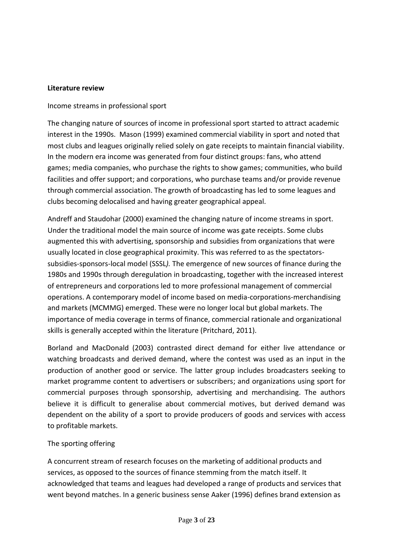#### **Literature review**

#### Income streams in professional sport

The changing nature of sources of income in professional sport started to attract academic interest in the 1990s. Mason (1999) examined commercial viability in sport and noted that most clubs and leagues originally relied solely on gate receipts to maintain financial viability. In the modern era income was generated from four distinct groups: fans, who attend games; media companies, who purchase the rights to show games; communities, who build facilities and offer support; and corporations, who purchase teams and/or provide revenue through commercial association. The growth of broadcasting has led to some leagues and clubs becoming delocalised and having greater geographical appeal.

Andreff and Staudohar (2000) examined the changing nature of income streams in sport. Under the traditional model the main source of income was gate receipts. Some clubs augmented this with advertising, sponsorship and subsidies from organizations that were usually located in close geographical proximity. This was referred to as the spectatorssubsidies-sponsors-local model (SSSL*).* The emergence of new sources of finance during the 1980s and 1990s through deregulation in broadcasting, together with the increased interest of entrepreneurs and corporations led to more professional management of commercial operations. A contemporary model of income based on media-corporations-merchandising and markets (MCMMG) emerged. These were no longer local but global markets. The importance of media coverage in terms of finance, commercial rationale and organizational skills is generally accepted within the literature (Pritchard, 2011).

Borland and MacDonald (2003) contrasted direct demand for either live attendance or watching broadcasts and derived demand, where the contest was used as an input in the production of another good or service. The latter group includes broadcasters seeking to market programme content to advertisers or subscribers; and organizations using sport for commercial purposes through sponsorship, advertising and merchandising. The authors believe it is difficult to generalise about commercial motives, but derived demand was dependent on the ability of a sport to provide producers of goods and services with access to profitable markets.

#### The sporting offering

A concurrent stream of research focuses on the marketing of additional products and services, as opposed to the sources of finance stemming from the match itself. It acknowledged that teams and leagues had developed a range of products and services that went beyond matches. In a generic business sense Aaker (1996) defines brand extension as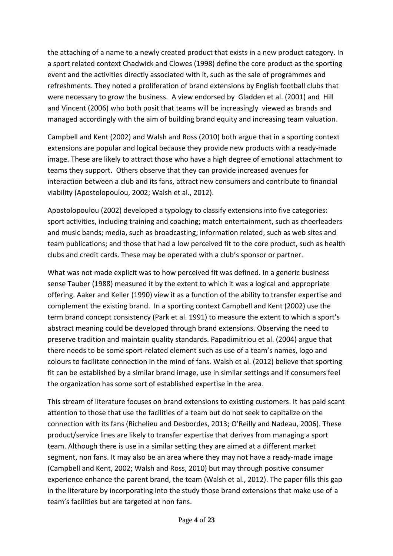the attaching of a name to a newly created product that exists in a new product category. In a sport related context Chadwick and Clowes (1998) define the core product as the sporting event and the activities directly associated with it, such as the sale of programmes and refreshments. They noted a proliferation of brand extensions by English football clubs that were necessary to grow the business. A view endorsed by Gladden et al. (2001) and Hill and Vincent (2006) who both posit that teams will be increasingly viewed as brands and managed accordingly with the aim of building brand equity and increasing team valuation.

Campbell and Kent (2002) and Walsh and Ross (2010) both argue that in a sporting context extensions are popular and logical because they provide new products with a ready-made image. These are likely to attract those who have a high degree of emotional attachment to teams they support. Others observe that they can provide increased avenues for interaction between a club and its fans, attract new consumers and contribute to financial viability (Apostolopoulou, 2002; Walsh et al., 2012).

Apostolopoulou (2002) developed a typology to classify extensions into five categories: sport activities, including training and coaching; match entertainment, such as cheerleaders and music bands; media, such as broadcasting; information related, such as web sites and team publications; and those that had a low perceived fit to the core product, such as health clubs and credit cards. These may be operated with a club's sponsor or partner.

What was not made explicit was to how perceived fit was defined. In a generic business sense Tauber (1988) measured it by the extent to which it was a logical and appropriate offering. Aaker and Keller (1990) view it as a function of the ability to transfer expertise and complement the existing brand. In a sporting context Campbell and Kent (2002) use the term brand concept consistency (Park et al. 1991) to measure the extent to which a sport's abstract meaning could be developed through brand extensions. Observing the need to preserve tradition and maintain quality standards. Papadimitriou et al. (2004) argue that there needs to be some sport-related element such as use of a team's names, logo and colours to facilitate connection in the mind of fans. Walsh et al. (2012) believe that sporting fit can be established by a similar brand image, use in similar settings and if consumers feel the organization has some sort of established expertise in the area.

This stream of literature focuses on brand extensions to existing customers. It has paid scant attention to those that use the facilities of a team but do not seek to capitalize on the connection with its fans (Richelieu and Desbordes, 2013; O'Reilly and Nadeau, 2006). These product/service lines are likely to transfer expertise that derives from managing a sport team. Although there is use in a similar setting they are aimed at a different market segment, non fans. It may also be an area where they may not have a ready-made image (Campbell and Kent, 2002; Walsh and Ross, 2010) but may through positive consumer experience enhance the parent brand, the team (Walsh et al., 2012). The paper fills this gap in the literature by incorporating into the study those brand extensions that make use of a team's facilities but are targeted at non fans.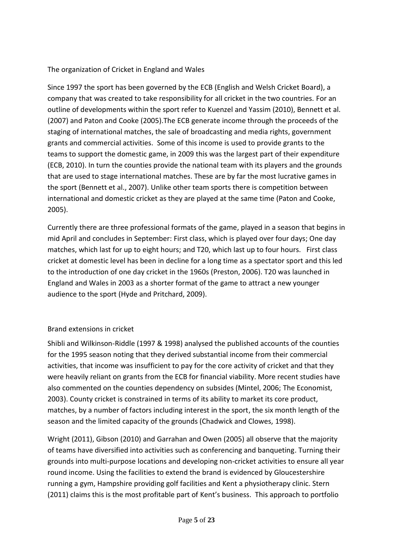## The organization of Cricket in England and Wales

Since 1997 the sport has been governed by the ECB (English and Welsh Cricket Board), a company that was created to take responsibility for all cricket in the two countries. For an outline of developments within the sport refer to Kuenzel and Yassim (2010), Bennett et al. (2007) and Paton and Cooke (2005).The ECB generate income through the proceeds of the staging of international matches, the sale of broadcasting and media rights, government grants and commercial activities. Some of this income is used to provide grants to the teams to support the domestic game, in 2009 this was the largest part of their expenditure (ECB, 2010). In turn the counties provide the national team with its players and the grounds that are used to stage international matches. These are by far the most lucrative games in the sport (Bennett et al., 2007). Unlike other team sports there is competition between international and domestic cricket as they are played at the same time (Paton and Cooke, 2005).

Currently there are three professional formats of the game, played in a season that begins in mid April and concludes in September: First class, which is played over four days; One day matches, which last for up to eight hours; and T20, which last up to four hours. First class cricket at domestic level has been in decline for a long time as a spectator sport and this led to the introduction of one day cricket in the 1960s (Preston, 2006). T20 was launched in England and Wales in 2003 as a shorter format of the game to attract a new younger audience to the sport (Hyde and Pritchard, 2009).

## Brand extensions in cricket

Shibli and Wilkinson-Riddle (1997 & 1998) analysed the published accounts of the counties for the 1995 season noting that they derived substantial income from their commercial activities, that income was insufficient to pay for the core activity of cricket and that they were heavily reliant on grants from the ECB for financial viability. More recent studies have also commented on the counties dependency on subsides (Mintel, 2006; The Economist, 2003). County cricket is constrained in terms of its ability to market its core product, matches, by a number of factors including interest in the sport, the six month length of the season and the limited capacity of the grounds (Chadwick and Clowes, 1998).

Wright (2011), Gibson (2010) and Garrahan and Owen (2005) all observe that the majority of teams have diversified into activities such as conferencing and banqueting. Turning their grounds into multi-purpose locations and developing non-cricket activities to ensure all year round income. Using the facilities to extend the brand is evidenced by Gloucestershire running a gym, Hampshire providing golf facilities and Kent a physiotherapy clinic. Stern (2011) claims this is the most profitable part of Kent's business. This approach to portfolio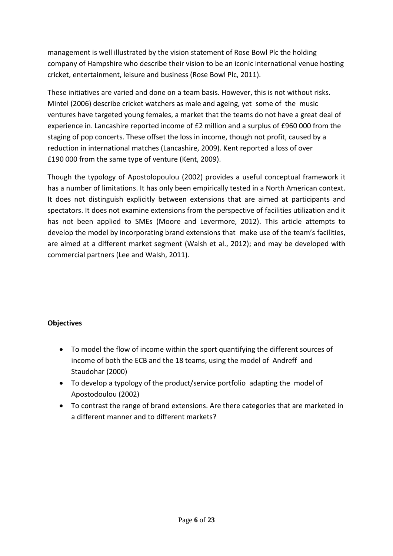management is well illustrated by the vision statement of Rose Bowl Plc the holding company of Hampshire who describe their vision to be an iconic international venue hosting cricket, entertainment, leisure and business (Rose Bowl Plc, 2011).

These initiatives are varied and done on a team basis. However, this is not without risks. Mintel (2006) describe cricket watchers as male and ageing, yet some of the music ventures have targeted young females, a market that the teams do not have a great deal of experience in. Lancashire reported income of £2 million and a surplus of £960 000 from the staging of pop concerts. These offset the loss in income, though not profit, caused by a reduction in international matches (Lancashire, 2009). Kent reported a loss of over £190 000 from the same type of venture (Kent, 2009).

Though the typology of Apostolopoulou (2002) provides a useful conceptual framework it has a number of limitations. It has only been empirically tested in a North American context. It does not distinguish explicitly between extensions that are aimed at participants and spectators. It does not examine extensions from the perspective of facilities utilization and it has not been applied to SMEs (Moore and Levermore, 2012). This article attempts to develop the model by incorporating brand extensions that make use of the team's facilities, are aimed at a different market segment (Walsh et al., 2012); and may be developed with commercial partners (Lee and Walsh, 2011).

## **Objectives**

- To model the flow of income within the sport quantifying the different sources of income of both the ECB and the 18 teams, using the model of Andreff and Staudohar (2000)
- To develop a typology of the product/service portfolio adapting the model of Apostodoulou (2002)
- To contrast the range of brand extensions. Are there categories that are marketed in a different manner and to different markets?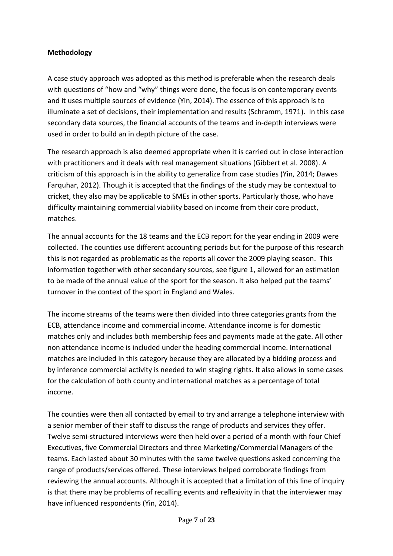## **Methodology**

A case study approach was adopted as this method is preferable when the research deals with questions of "how and "why" things were done, the focus is on contemporary events and it uses multiple sources of evidence (Yin, 2014). The essence of this approach is to illuminate a set of decisions, their implementation and results (Schramm, 1971). In this case secondary data sources, the financial accounts of the teams and in-depth interviews were used in order to build an in depth picture of the case.

The research approach is also deemed appropriate when it is carried out in close interaction with practitioners and it deals with real management situations (Gibbert et al. 2008). A criticism of this approach is in the ability to generalize from case studies (Yin, 2014; Dawes Farquhar, 2012). Though it is accepted that the findings of the study may be contextual to cricket, they also may be applicable to SMEs in other sports. Particularly those, who have difficulty maintaining commercial viability based on income from their core product, matches.

The annual accounts for the 18 teams and the ECB report for the year ending in 2009 were collected. The counties use different accounting periods but for the purpose of this research this is not regarded as problematic as the reports all cover the 2009 playing season. This information together with other secondary sources, see figure 1, allowed for an estimation to be made of the annual value of the sport for the season. It also helped put the teams' turnover in the context of the sport in England and Wales.

The income streams of the teams were then divided into three categories grants from the ECB, attendance income and commercial income. Attendance income is for domestic matches only and includes both membership fees and payments made at the gate. All other non attendance income is included under the heading commercial income. International matches are included in this category because they are allocated by a bidding process and by inference commercial activity is needed to win staging rights. It also allows in some cases for the calculation of both county and international matches as a percentage of total income.

The counties were then all contacted by email to try and arrange a telephone interview with a senior member of their staff to discuss the range of products and services they offer. Twelve semi-structured interviews were then held over a period of a month with four Chief Executives, five Commercial Directors and three Marketing/Commercial Managers of the teams. Each lasted about 30 minutes with the same twelve questions asked concerning the range of products/services offered. These interviews helped corroborate findings from reviewing the annual accounts. Although it is accepted that a limitation of this line of inquiry is that there may be problems of recalling events and reflexivity in that the interviewer may have influenced respondents (Yin, 2014).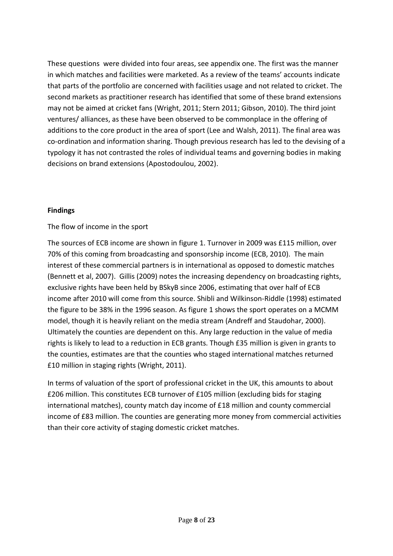These questions were divided into four areas, see appendix one. The first was the manner in which matches and facilities were marketed. As a review of the teams' accounts indicate that parts of the portfolio are concerned with facilities usage and not related to cricket. The second markets as practitioner research has identified that some of these brand extensions may not be aimed at cricket fans (Wright, 2011; Stern 2011; Gibson, 2010). The third joint ventures/ alliances, as these have been observed to be commonplace in the offering of additions to the core product in the area of sport (Lee and Walsh, 2011). The final area was co-ordination and information sharing. Though previous research has led to the devising of a typology it has not contrasted the roles of individual teams and governing bodies in making decisions on brand extensions (Apostodoulou, 2002).

#### **Findings**

## The flow of income in the sport

The sources of ECB income are shown in figure 1. Turnover in 2009 was £115 million, over 70% of this coming from broadcasting and sponsorship income (ECB, 2010). The main interest of these commercial partners is in international as opposed to domestic matches (Bennett et al, 2007). Gillis (2009) notes the increasing dependency on broadcasting rights, exclusive rights have been held by BSkyB since 2006, estimating that over half of ECB income after 2010 will come from this source. Shibli and Wilkinson-Riddle (1998) estimated the figure to be 38% in the 1996 season. As figure 1 shows the sport operates on a MCMM model, though it is heavily reliant on the media stream (Andreff and Staudohar, 2000). Ultimately the counties are dependent on this. Any large reduction in the value of media rights is likely to lead to a reduction in ECB grants. Though £35 million is given in grants to the counties, estimates are that the counties who staged international matches returned £10 million in staging rights (Wright, 2011).

In terms of valuation of the sport of professional cricket in the UK, this amounts to about £206 million. This constitutes ECB turnover of £105 million (excluding bids for staging international matches), county match day income of £18 million and county commercial income of £83 million. The counties are generating more money from commercial activities than their core activity of staging domestic cricket matches.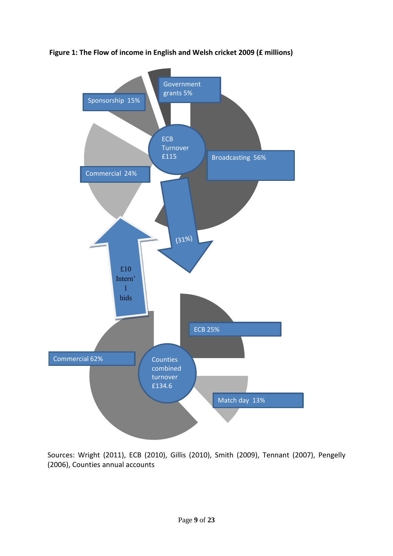

**Figure 1: The Flow of income in English and Welsh cricket 2009 (£ millions)**

Sources: Wright (2011), ECB (2010), Gillis (2010), Smith (2009), Tennant (2007), Pengelly (2006), Counties annual accounts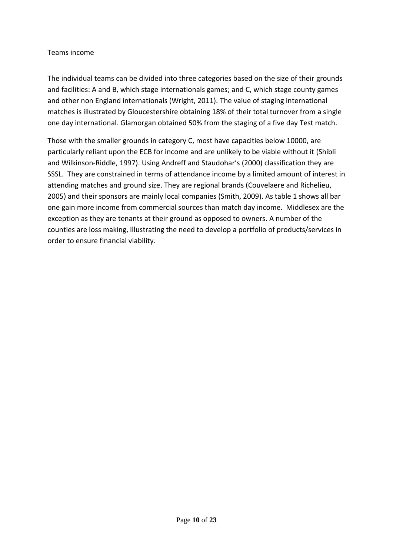#### Teams income

The individual teams can be divided into three categories based on the size of their grounds and facilities: A and B, which stage internationals games; and C, which stage county games and other non England internationals (Wright, 2011). The value of staging international matches is illustrated by Gloucestershire obtaining 18% of their total turnover from a single one day international. Glamorgan obtained 50% from the staging of a five day Test match.

Those with the smaller grounds in category C, most have capacities below 10000, are particularly reliant upon the ECB for income and are unlikely to be viable without it (Shibli and Wilkinson-Riddle, 1997). Using Andreff and Staudohar's (2000) classification they are SSSL. They are constrained in terms of attendance income by a limited amount of interest in attending matches and ground size. They are regional brands (Couvelaere and Richelieu, 2005) and their sponsors are mainly local companies (Smith, 2009). As table 1 shows all bar one gain more income from commercial sources than match day income. Middlesex are the exception as they are tenants at their ground as opposed to owners. A number of the counties are loss making, illustrating the need to develop a portfolio of products/services in order to ensure financial viability.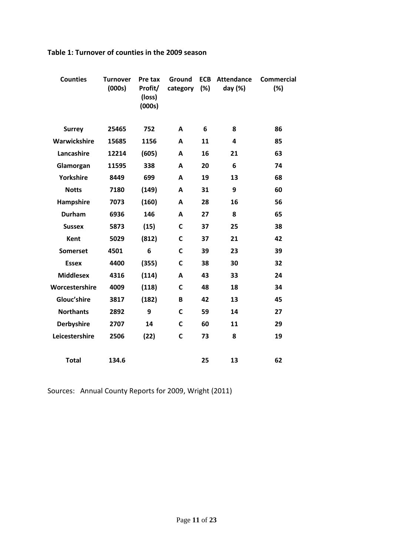| <b>Counties</b>   | <b>Turnover</b><br>(000s) | Pre tax<br>Profit/<br>(loss)<br>(000s) | Ground<br>category | <b>ECB</b><br>(%) | <b>Attendance</b><br>day (%) | <b>Commercial</b><br>(%) |
|-------------------|---------------------------|----------------------------------------|--------------------|-------------------|------------------------------|--------------------------|
| <b>Surrey</b>     | 25465                     | 752                                    | A                  | 6                 | 8                            | 86                       |
| Warwickshire      | 15685                     | 1156                                   | A                  | 11                | 4                            | 85                       |
| Lancashire        | 12214                     | (605)                                  | A                  | 16                | 21                           | 63                       |
| Glamorgan         | 11595                     | 338                                    | A                  | 20                | 6                            | 74                       |
| <b>Yorkshire</b>  | 8449                      | 699                                    | A                  | 19                | 13                           | 68                       |
| <b>Notts</b>      | 7180                      | (149)                                  | A                  | 31                | 9                            | 60                       |
| Hampshire         | 7073                      | (160)                                  | A                  | 28                | 16                           | 56                       |
| <b>Durham</b>     | 6936                      | 146                                    | A                  | 27                | 8                            | 65                       |
| <b>Sussex</b>     | 5873                      | (15)                                   | C                  | 37                | 25                           | 38                       |
| <b>Kent</b>       | 5029                      | (812)                                  | C                  | 37                | 21                           | 42                       |
| <b>Somerset</b>   | 4501                      | 6                                      | C                  | 39                | 23                           | 39                       |
| <b>Essex</b>      | 4400                      | (355)                                  | $\mathsf{C}$       | 38                | 30                           | 32                       |
| <b>Middlesex</b>  | 4316                      | (114)                                  | A                  | 43                | 33                           | 24                       |
| Worcestershire    | 4009                      | (118)                                  | C                  | 48                | 18                           | 34                       |
| Glouc'shire       | 3817                      | (182)                                  | B                  | 42                | 13                           | 45                       |
| <b>Northants</b>  | 2892                      | 9                                      | $\mathbf{C}$       | 59                | 14                           | 27                       |
| <b>Derbyshire</b> | 2707                      | 14                                     | C                  | 60                | 11                           | 29                       |
| Leicestershire    | 2506                      | (22)                                   | C                  | 73                | 8                            | 19                       |
| <b>Total</b>      | 134.6                     |                                        |                    | 25                | 13                           | 62                       |

## **Table 1: Turnover of counties in the 2009 season**

Sources: Annual County Reports for 2009, Wright (2011)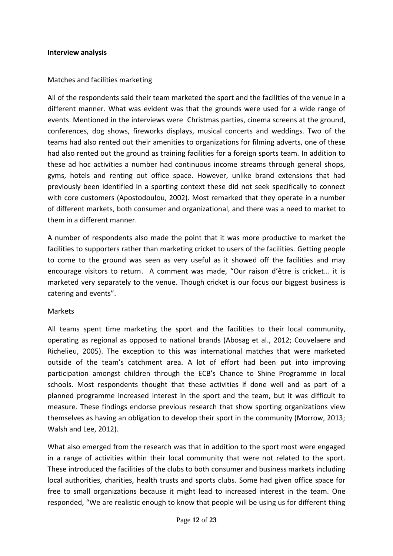#### **Interview analysis**

#### Matches and facilities marketing

All of the respondents said their team marketed the sport and the facilities of the venue in a different manner. What was evident was that the grounds were used for a wide range of events. Mentioned in the interviews were Christmas parties, cinema screens at the ground, conferences, dog shows, fireworks displays, musical concerts and weddings. Two of the teams had also rented out their amenities to organizations for filming adverts, one of these had also rented out the ground as training facilities for a foreign sports team. In addition to these ad hoc activities a number had continuous income streams through general shops, gyms, hotels and renting out office space. However, unlike brand extensions that had previously been identified in a sporting context these did not seek specifically to connect with core customers (Apostodoulou, 2002). Most remarked that they operate in a number of different markets, both consumer and organizational, and there was a need to market to them in a different manner.

A number of respondents also made the point that it was more productive to market the facilities to supporters rather than marketing cricket to users of the facilities. Getting people to come to the ground was seen as very useful as it showed off the facilities and may encourage visitors to return. A comment was made, "Our raison d'être is cricket... it is marketed very separately to the venue. Though cricket is our focus our biggest business is catering and events".

#### Markets

All teams spent time marketing the sport and the facilities to their local community, operating as regional as opposed to national brands (Abosag et al., 2012; Couvelaere and Richelieu, 2005). The exception to this was international matches that were marketed outside of the team's catchment area. A lot of effort had been put into improving participation amongst children through the ECB's Chance to Shine Programme in local schools. Most respondents thought that these activities if done well and as part of a planned programme increased interest in the sport and the team, but it was difficult to measure. These findings endorse previous research that show sporting organizations view themselves as having an obligation to develop their sport in the community (Morrow, 2013; Walsh and Lee, 2012).

What also emerged from the research was that in addition to the sport most were engaged in a range of activities within their local community that were not related to the sport. These introduced the facilities of the clubs to both consumer and business markets including local authorities, charities, health trusts and sports clubs. Some had given office space for free to small organizations because it might lead to increased interest in the team. One responded, "We are realistic enough to know that people will be using us for different thing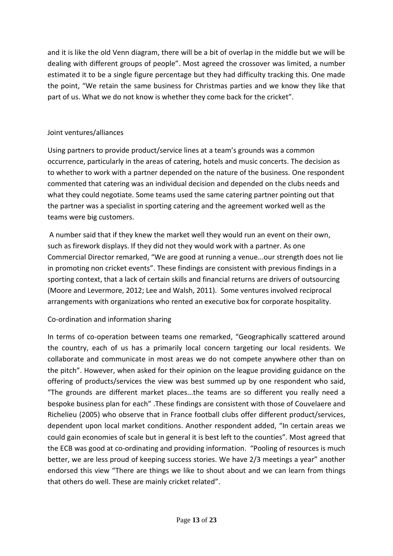and it is like the old Venn diagram, there will be a bit of overlap in the middle but we will be dealing with different groups of people". Most agreed the crossover was limited, a number estimated it to be a single figure percentage but they had difficulty tracking this. One made the point, "We retain the same business for Christmas parties and we know they like that part of us. What we do not know is whether they come back for the cricket".

## Joint ventures/alliances

Using partners to provide product/service lines at a team's grounds was a common occurrence, particularly in the areas of catering, hotels and music concerts. The decision as to whether to work with a partner depended on the nature of the business. One respondent commented that catering was an individual decision and depended on the clubs needs and what they could negotiate. Some teams used the same catering partner pointing out that the partner was a specialist in sporting catering and the agreement worked well as the teams were big customers.

A number said that if they knew the market well they would run an event on their own, such as firework displays. If they did not they would work with a partner. As one Commercial Director remarked, "We are good at running a venue...our strength does not lie in promoting non cricket events". These findings are consistent with previous findings in a sporting context, that a lack of certain skills and financial returns are drivers of outsourcing (Moore and Levermore, 2012; Lee and Walsh, 2011). Some ventures involved reciprocal arrangements with organizations who rented an executive box for corporate hospitality.

## Co-ordination and information sharing

In terms of co-operation between teams one remarked, "Geographically scattered around the country, each of us has a primarily local concern targeting our local residents. We collaborate and communicate in most areas we do not compete anywhere other than on the pitch". However, when asked for their opinion on the league providing guidance on the offering of products/services the view was best summed up by one respondent who said, "The grounds are different market places...the teams are so different you really need a bespoke business plan for each" .These findings are consistent with those of Couvelaere and Richelieu (2005) who observe that in France football clubs offer different product/services, dependent upon local market conditions. Another respondent added, "In certain areas we could gain economies of scale but in general it is best left to the counties". Most agreed that the ECB was good at co-ordinating and providing information. "Pooling of resources is much better, we are less proud of keeping success stories. We have 2/3 meetings a year" another endorsed this view "There are things we like to shout about and we can learn from things that others do well. These are mainly cricket related".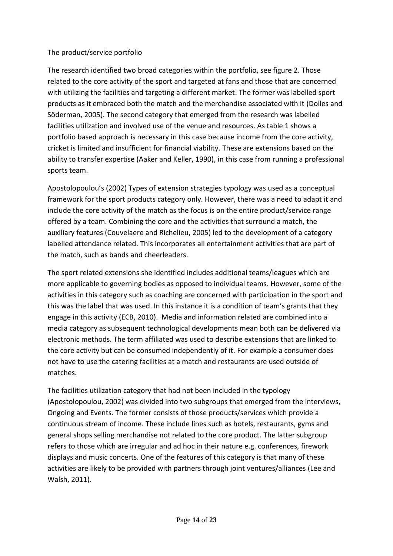## The product/service portfolio

The research identified two broad categories within the portfolio, see figure 2. Those related to the core activity of the sport and targeted at fans and those that are concerned with utilizing the facilities and targeting a different market. The former was labelled sport products as it embraced both the match and the merchandise associated with it (Dolles and Söderman, 2005). The second category that emerged from the research was labelled facilities utilization and involved use of the venue and resources. As table 1 shows a portfolio based approach is necessary in this case because income from the core activity, cricket is limited and insufficient for financial viability. These are extensions based on the ability to transfer expertise (Aaker and Keller, 1990), in this case from running a professional sports team.

Apostolopoulou's (2002) Types of extension strategies typology was used as a conceptual framework for the sport products category only. However, there was a need to adapt it and include the core activity of the match as the focus is on the entire product/service range offered by a team. Combining the core and the activities that surround a match, the auxiliary features (Couvelaere and Richelieu, 2005) led to the development of a category labelled attendance related. This incorporates all entertainment activities that are part of the match, such as bands and cheerleaders.

The sport related extensions she identified includes additional teams/leagues which are more applicable to governing bodies as opposed to individual teams. However, some of the activities in this category such as coaching are concerned with participation in the sport and this was the label that was used. In this instance it is a condition of team's grants that they engage in this activity (ECB, 2010). Media and information related are combined into a media category as subsequent technological developments mean both can be delivered via electronic methods. The term affiliated was used to describe extensions that are linked to the core activity but can be consumed independently of it. For example a consumer does not have to use the catering facilities at a match and restaurants are used outside of matches.

The facilities utilization category that had not been included in the typology (Apostolopoulou, 2002) was divided into two subgroups that emerged from the interviews, Ongoing and Events. The former consists of those products/services which provide a continuous stream of income. These include lines such as hotels, restaurants, gyms and general shops selling merchandise not related to the core product. The latter subgroup refers to those which are irregular and ad hoc in their nature e.g. conferences, firework displays and music concerts. One of the features of this category is that many of these activities are likely to be provided with partners through joint ventures/alliances (Lee and Walsh, 2011).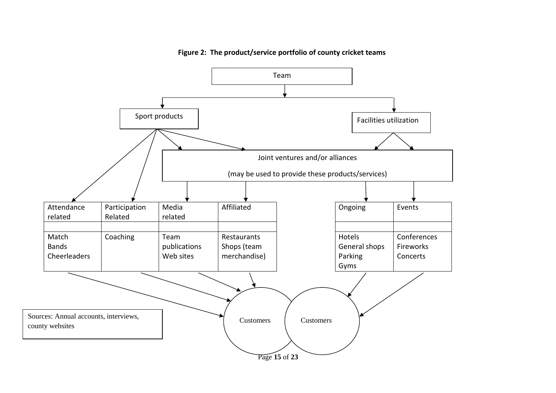

**Figure 2: The product/service portfolio of county cricket teams**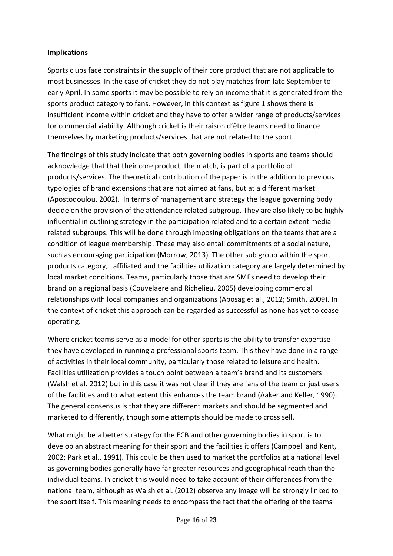## **Implications**

Sports clubs face constraints in the supply of their core product that are not applicable to most businesses. In the case of cricket they do not play matches from late September to early April. In some sports it may be possible to rely on income that it is generated from the sports product category to fans. However, in this context as figure 1 shows there is insufficient income within cricket and they have to offer a wider range of products/services for commercial viability. Although cricket is their raison d'être teams need to finance themselves by marketing products/services that are not related to the sport.

The findings of this study indicate that both governing bodies in sports and teams should acknowledge that that their core product, the match, is part of a portfolio of products/services. The theoretical contribution of the paper is in the addition to previous typologies of brand extensions that are not aimed at fans, but at a different market (Apostodoulou, 2002). In terms of management and strategy the league governing body decide on the provision of the attendance related subgroup. They are also likely to be highly influential in outlining strategy in the participation related and to a certain extent media related subgroups. This will be done through imposing obligations on the teams that are a condition of league membership. These may also entail commitments of a social nature, such as encouraging participation (Morrow, 2013). The other sub group within the sport products category, affiliated and the facilities utilization category are largely determined by local market conditions. Teams, particularly those that are SMEs need to develop their brand on a regional basis (Couvelaere and Richelieu, 2005) developing commercial relationships with local companies and organizations (Abosag et al., 2012; Smith, 2009). In the context of cricket this approach can be regarded as successful as none has yet to cease operating.

Where cricket teams serve as a model for other sports is the ability to transfer expertise they have developed in running a professional sports team. This they have done in a range of activities in their local community, particularly those related to leisure and health. Facilities utilization provides a touch point between a team's brand and its customers (Walsh et al. 2012) but in this case it was not clear if they are fans of the team or just users of the facilities and to what extent this enhances the team brand (Aaker and Keller, 1990). The general consensus is that they are different markets and should be segmented and marketed to differently, though some attempts should be made to cross sell.

What might be a better strategy for the ECB and other governing bodies in sport is to develop an abstract meaning for their sport and the facilities it offers (Campbell and Kent, 2002; Park et al., 1991). This could be then used to market the portfolios at a national level as governing bodies generally have far greater resources and geographical reach than the individual teams. In cricket this would need to take account of their differences from the national team, although as Walsh et al. (2012) observe any image will be strongly linked to the sport itself. This meaning needs to encompass the fact that the offering of the teams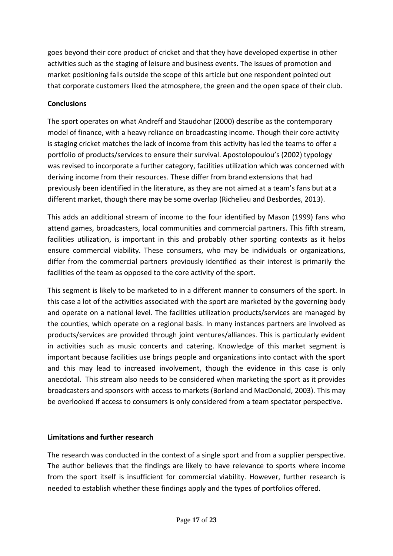goes beyond their core product of cricket and that they have developed expertise in other activities such as the staging of leisure and business events. The issues of promotion and market positioning falls outside the scope of this article but one respondent pointed out that corporate customers liked the atmosphere, the green and the open space of their club.

## **Conclusions**

The sport operates on what Andreff and Staudohar (2000) describe as the contemporary model of finance, with a heavy reliance on broadcasting income. Though their core activity is staging cricket matches the lack of income from this activity has led the teams to offer a portfolio of products/services to ensure their survival. Apostolopoulou's (2002) typology was revised to incorporate a further category, facilities utilization which was concerned with deriving income from their resources. These differ from brand extensions that had previously been identified in the literature, as they are not aimed at a team's fans but at a different market, though there may be some overlap (Richelieu and Desbordes, 2013).

This adds an additional stream of income to the four identified by Mason (1999) fans who attend games, broadcasters, local communities and commercial partners. This fifth stream, facilities utilization, is important in this and probably other sporting contexts as it helps ensure commercial viability. These consumers, who may be individuals or organizations, differ from the commercial partners previously identified as their interest is primarily the facilities of the team as opposed to the core activity of the sport.

This segment is likely to be marketed to in a different manner to consumers of the sport. In this case a lot of the activities associated with the sport are marketed by the governing body and operate on a national level. The facilities utilization products/services are managed by the counties, which operate on a regional basis. In many instances partners are involved as products/services are provided through joint ventures/alliances. This is particularly evident in activities such as music concerts and catering. Knowledge of this market segment is important because facilities use brings people and organizations into contact with the sport and this may lead to increased involvement, though the evidence in this case is only anecdotal. This stream also needs to be considered when marketing the sport as it provides broadcasters and sponsors with access to markets (Borland and MacDonald, 2003). This may be overlooked if access to consumers is only considered from a team spectator perspective.

## **Limitations and further research**

The research was conducted in the context of a single sport and from a supplier perspective. The author believes that the findings are likely to have relevance to sports where income from the sport itself is insufficient for commercial viability. However, further research is needed to establish whether these findings apply and the types of portfolios offered.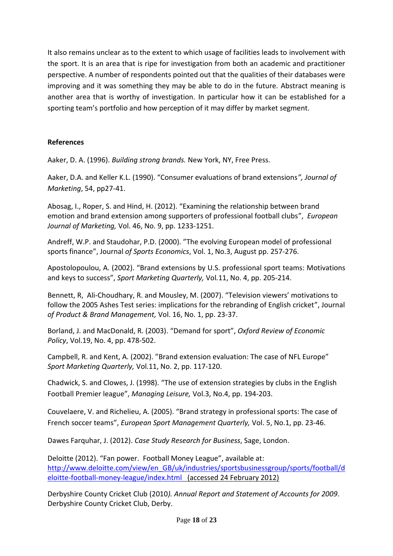It also remains unclear as to the extent to which usage of facilities leads to involvement with the sport. It is an area that is ripe for investigation from both an academic and practitioner perspective. A number of respondents pointed out that the qualities of their databases were improving and it was something they may be able to do in the future. Abstract meaning is another area that is worthy of investigation. In particular how it can be established for a sporting team's portfolio and how perception of it may differ by market segment.

## **References**

Aaker, D. A. (1996). *Building strong brands.* New York, NY, Free Press.

Aaker, D.A. and Keller K.L. (1990). "Consumer evaluations of brand extensions*", Journal of Marketing*, 54, pp27-41.

Abosag, I., Roper, S. and Hind, H. (2012). "Examining the relationship between brand emotion and brand extension among supporters of professional football clubs", *European Journal of Marketing,* Vol. 46, No. 9, pp. 1233-1251.

Andreff, W.P. and Staudohar, P.D. (2000). "The evolving European model of professional sports finance", Journal *of Sports Economics*, Vol. 1, No.3, August pp. 257-276.

Apostolopoulou, A. (2002). "Brand extensions by U.S. professional sport teams: Motivations and keys to success", *Sport Marketing Quarterly,* Vol*.*11, No. 4, pp. 205-214.

Bennett, R, Ali-Choudhary, R. and Mousley, M. (2007). "Television viewers' motivations to follow the 2005 Ashes Test series: implications for the rebranding of English cricket", Journal *of Product & Brand Management,* Vol. 16, No. 1, pp. 23-37.

Borland, J. and MacDonald, R. (2003). "Demand for sport", *Oxford Review of Economic Policy*, Vol.19, No. 4, pp. 478-502.

Campbell, R. and Kent, A. (2002). "Brand extension evaluation: The case of NFL Europe" *Sport Marketing Quarterly,* Vol*.*11, No. 2, pp. 117-120.

Chadwick, S. and Clowes, J. (1998). "The use of extension strategies by clubs in the English Football Premier league", *Managing Leisure,* Vol.3, No.4, pp. 194-203.

Couvelaere, V. and Richelieu, A. (2005). "Brand strategy in professional sports: The case of French soccer teams", *European Sport Management Quarterly,* Vol. 5, No.1, pp. 23-46.

Dawes Farquhar, J. (2012). *Case Study Research for Business*, Sage, London.

Deloitte (2012). "Fan power. Football Money League", available at: [http://www.deloitte.com/view/en\\_GB/uk/industries/sportsbusinessgroup/sports/football/d](http://www.deloitte.com/view/en_GB/uk/industries/sportsbusinessgroup/sports/football/deloitte-football-money-league/index.html) [eloitte-football-money-league/index.html](http://www.deloitte.com/view/en_GB/uk/industries/sportsbusinessgroup/sports/football/deloitte-football-money-league/index.html) (accessed 24 February 2012)

Derbyshire County Cricket Club (2010*). Annual Report and Statement of Accounts for 2009*. Derbyshire County Cricket Club, Derby.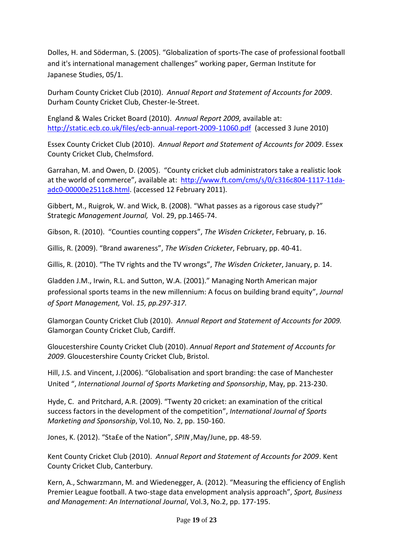Dolles, H. and Söderman, S. (2005). "Globalization of sports-The case of professional football and it's international management challenges" working paper, German Institute for Japanese Studies, 05/1.

Durham County Cricket Club (2010). *Annual Report and Statement of Accounts for 2009*. Durham County Cricket Club, Chester-le-Street.

England & Wales Cricket Board (2010). *Annual Report 2009,* available at: <http://static.ecb.co.uk/files/ecb-annual-report-2009-11060.pdf>(accessed 3 June 2010)

Essex County Cricket Club (2010). *Annual Report and Statement of Accounts for 2009*. Essex County Cricket Club, Chelmsford.

Garrahan, M. and Owen, D. (2005). "County cricket club administrators take a realistic look at the world of commerce", available at: [http://www.ft.com/cms/s/0/c316c804-1117-11da](http://www.ft.com/cms/s/0/c316c804-1117-11da-adc0-00000e2511c8.html)[adc0-00000e2511c8.html.](http://www.ft.com/cms/s/0/c316c804-1117-11da-adc0-00000e2511c8.html) (accessed 12 February 2011).

Gibbert, M., Ruigrok, W. and Wick, B. (2008). "What passes as a rigorous case study?" Strategic *Management Journal,* Vol. 29, pp.1465-74.

Gibson, R. (2010). "Counties counting coppers", *The Wisden Cricketer*, February, p. 16.

Gillis, R. (2009). "Brand awareness", *The Wisden Cricketer*, February, pp. 40-41.

Gillis, R. (2010). "The TV rights and the TV wrongs", *The Wisden Cricketer*, January, p. 14.

Gladden J.M., Irwin, R.L. and Sutton, W.A. (2001)." Managing North American major professional sports teams in the new millennium: A focus on building brand equity", *Journal of Sport Management,* Vol. *15, pp.297-317.*

Glamorgan County Cricket Club (2010). *Annual Report and Statement of Accounts for 2009.*  Glamorgan County Cricket Club, Cardiff.

Gloucestershire County Cricket Club (2010). *Annual Report and Statement of Accounts for 2009*. Gloucestershire County Cricket Club, Bristol.

Hill, J.S. and Vincent, J.(2006). "Globalisation and sport branding: the case of Manchester United ", *International Journal of Sports Marketing and Sponsorship*, May, pp. 213-230.

Hyde, C. and Pritchard, A.R. (2009). "Twenty 20 cricket: an examination of the critical success factors in the development of the competition", *International Journal of Sports Marketing and Sponsorship*, Vol.10, No. 2, pp. 150-160.

Jones, K. (2012). "Sta£e of the Nation", *SPIN ,*May/June, pp. 48-59.

Kent County Cricket Club (2010). *Annual Report and Statement of Accounts for 2009*. Kent County Cricket Club, Canterbury.

Kern, A., Schwarzmann, M. and Wiedenegger, A. (2012). "Measuring the efficiency of English Premier League football. A two-stage data envelopment analysis approach", *Sport, Business and Management: An International Journal*, Vol.3, No.2, pp. 177-195.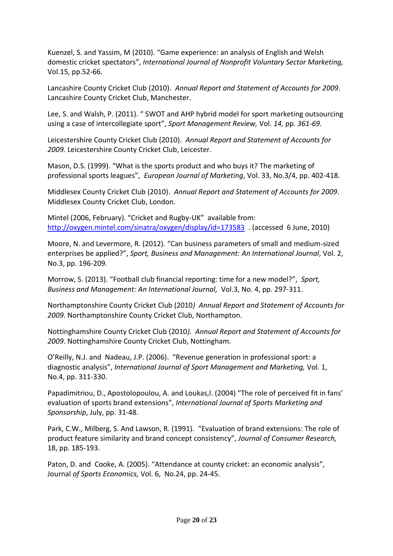Kuenzel, S. and Yassim, M (2010). "Game experience: an analysis of English and Welsh domestic cricket spectators", *International Journal of Nonprofit Voluntary Sector Marketing,*  Vol.15, pp.52-66.

Lancashire County Cricket Club (2010). *Annual Report and Statement of Accounts for 2009*. Lancashire County Cricket Club, Manchester.

Lee, S. and Walsh, P. (2011). " SWOT and AHP hybrid model for sport marketing outsourcing using a case of intercollegiate sport", *Sport Management Review,* Vol. *14,* pp*. 361-69.* 

Leicestershire County Cricket Club (2010). *Annual Report and Statement of Accounts for 2009.* Leicestershire County Cricket Club, Leicester.

Mason, D.S. (1999). "What is the sports product and who buys it? The marketing of professional sports leagues", *European Journal of Marketing*, Vol. 33, No.3/4, pp. 402-418.

Middlesex County Cricket Club (2010). *Annual Report and Statement of Accounts for 2009*. Middlesex County Cricket Club, London.

Mintel (2006, February). "Cricket and Rugby-UK" available from: <http://oxygen.mintel.com/sinatra/oxygen/display/id=173583> . (accessed 6 June, 2010)

Moore, N. and Levermore, R. (2012). "Can business parameters of small and medium-sized enterprises be applied?", *Sport, Business and Management: An International Journal*, Vol. 2, No.3, pp. 196-209.

Morrow, S. (2013). "Football club financial reporting: time for a new model?", *Sport, Business and Management: An International Journal,* Vol.3, No. 4, pp. 297-311.

Northamptonshire County Cricket Club (2010*) Annual Report and Statement of Accounts for 2009*. Northamptonshire County Cricket Club, Northampton.

Nottinghamshire County Cricket Club (2010*). Annual Report and Statement of Accounts for 2009*. Nottinghamshire County Cricket Club, Nottingham.

O'Reilly, N.J. and Nadeau, J.P. (2006). "Revenue generation in professional sport: a diagnostic analysis", *International Journal of Sport Management and Marketing,* Vol*.* 1, No.4, pp. 311-330.

Papadimitriou, D., Apostolopoulou, A. and Loukas, I. (2004) "The role of perceived fit in fans' evaluation of sports brand extensions", *International Journal of Sports Marketing and Sponsorship*, July, pp. 31-48.

Park, C.W., Milberg, S. And Lawson, R. (1991). "Evaluation of brand extensions: The role of product feature similarity and brand concept consistency", *Journal of Consumer Research,* 18, pp. 185-193.

Paton, D. and Cooke, A. (2005). "Attendance at county cricket: an economic analysis", Journal *of Sports Economics,* Vol. 6, No.24, pp. 24-45.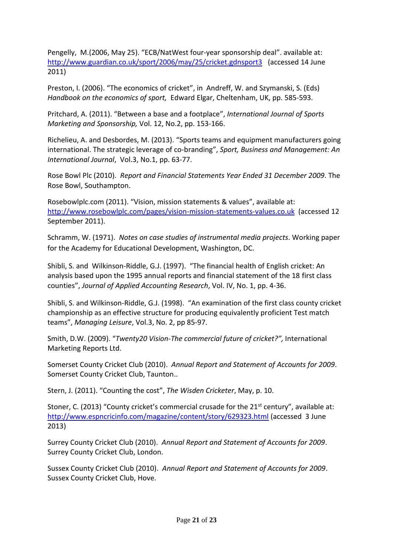Pengelly, M.(2006, May 25). "ECB/NatWest four-year sponsorship deal". available at: <http://www.guardian.co.uk/sport/2006/may/25/cricket.gdnsport3>(accessed 14 June 2011)

Preston, I. (2006). "The economics of cricket", in Andreff, W. and Szymanski, S. (Eds) *Handbook on the economics of sport,* Edward Elgar, Cheltenham, UK, pp. 585-593.

Pritchard, A. (2011). "Between a base and a footplace", *International Journal of Sports Marketing and Sponsorship,* Vol. 12, No.2, pp. 153-166.

Richelieu, A. and Desbordes, M. (2013). "Sports teams and equipment manufacturers going international. The strategic leverage of co-branding", *Sport, Business and Management: An International Journal*, Vol.3, No.1, pp. 63-77.

Rose Bowl Plc (2010). *Report and Financial Statements Year Ended 31 December 2009*. The Rose Bowl, Southampton.

Rosebowlplc.com (2011). "Vision, mission statements & values", available at: <http://www.rosebowlplc.com/pages/vision-mission-statements-values.co.uk>(accessed 12 September 2011).

Schramm, W. (1971). *Notes on case studies of instrumental media projects*. Working paper for the Academy for Educational Development, Washington, DC.

Shibli, S. and Wilkinson-Riddle, G.J. (1997). "The financial health of English cricket: An analysis based upon the 1995 annual reports and financial statement of the 18 first class counties", *Journal of Applied Accounting Research*, Vol. IV, No. 1, pp. 4-36.

Shibli, S. and Wilkinson-Riddle, G.J. (1998). "An examination of the first class county cricket championship as an effective structure for producing equivalently proficient Test match teams", *Managing Leisure*, Vol.3, No. 2, pp 85-97.

Smith, D.W. (2009). "*Twenty20 Vision-The commercial future of cricket?",* International Marketing Reports Ltd.

Somerset County Cricket Club (2010). *Annual Report and Statement of Accounts for 2009*. Somerset County Cricket Club, Taunton..

Stern, J. (2011). "Counting the cost", *The Wisden Cricketer*, May, p. 10.

Stoner, C. (2013) "County cricket's commercial crusade for the  $21<sup>st</sup>$  century", available at: <http://www.espncricinfo.com/magazine/content/story/629323.html> (accessed 3 June 2013)

Surrey County Cricket Club (2010). *Annual Report and Statement of Accounts for 2009*. Surrey County Cricket Club, London.

Sussex County Cricket Club (2010). *Annual Report and Statement of Accounts for 2009*. Sussex County Cricket Club, Hove.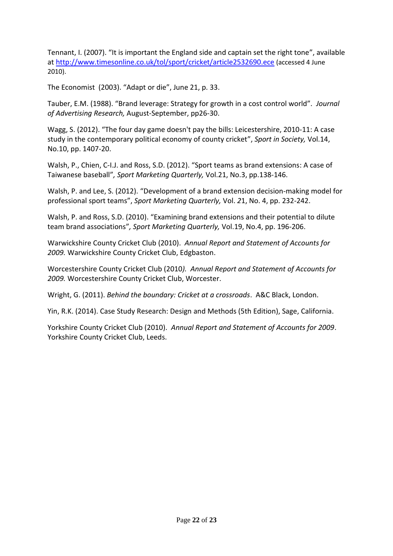Tennant, I. (2007). "It is important the England side and captain set the right tone", available at<http://www.timesonline.co.uk/tol/sport/cricket/article2532690.ece> (accessed 4 June 2010).

The Economist (2003). "Adapt or die", June 21, p. 33.

Tauber, E.M. (1988). "Brand leverage: Strategy for growth in a cost control world". *Journal of Advertising Research,* August-September, pp26-30.

Wagg, S. (2012). "The four day game doesn't pay the bills: Leicestershire, 2010-11: A case study in the contemporary political economy of county cricket", *Sport in Society,* Vol.14, No.10, pp. 1407-20.

Walsh, P., Chien, C-I.J. and Ross, S.D. (2012). "Sport teams as brand extensions: A case of Taiwanese baseball"*, Sport Marketing Quarterly,* Vol.21, No.3, pp.138-146.

Walsh, P. and Lee, S. (2012). "Development of a brand extension decision-making model for professional sport teams", *Sport Marketing Quarterly,* Vol. *2*1, No. 4, pp. 232-242.

Walsh, P. and Ross, S.D. (2010). "Examining brand extensions and their potential to dilute team brand associations"*, Sport Marketing Quarterly,* Vol.19, No.4, pp. 196-206.

Warwickshire County Cricket Club (2010). *Annual Report and Statement of Accounts for 2009.* Warwickshire County Cricket Club, Edgbaston.

Worcestershire County Cricket Club (2010*). Annual Report and Statement of Accounts for 2009.* Worcestershire County Cricket Club, Worcester.

Wright, G. (2011). *Behind the boundary: Cricket at a crossroads*. A&C Black, London.

Yin, R.K. (2014). Case Study Research: Design and Methods (5th Edition), Sage, California.

Yorkshire County Cricket Club (2010). *Annual Report and Statement of Accounts for 2009*. Yorkshire County Cricket Club, Leeds.